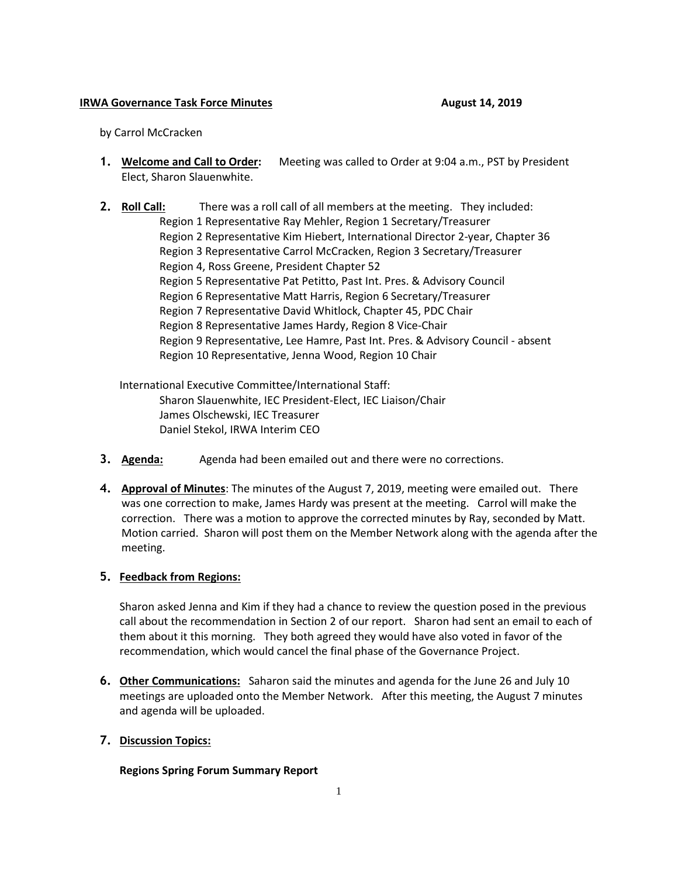## **IRWA Governance Task Force Minutes August 14, 2019**

by Carrol McCracken

- **1. Welcome and Call to Order:** Meeting was called to Order at 9:04 a.m., PST by President Elect, Sharon Slauenwhite.
- **2. Roll Call:** There was a roll call of all members at the meeting. They included: Region 1 Representative Ray Mehler, Region 1 Secretary/Treasurer Region 2 Representative Kim Hiebert, International Director 2-year, Chapter 36 Region 3 Representative Carrol McCracken, Region 3 Secretary/Treasurer Region 4, Ross Greene, President Chapter 52 Region 5 Representative Pat Petitto, Past Int. Pres. & Advisory Council Region 6 Representative Matt Harris, Region 6 Secretary/Treasurer Region 7 Representative David Whitlock, Chapter 45, PDC Chair Region 8 Representative James Hardy, Region 8 Vice-Chair Region 9 Representative, Lee Hamre, Past Int. Pres. & Advisory Council - absent Region 10 Representative, Jenna Wood, Region 10 Chair

International Executive Committee/International Staff: Sharon Slauenwhite, IEC President-Elect, IEC Liaison/Chair James Olschewski, IEC Treasurer Daniel Stekol, IRWA Interim CEO

- **3. Agenda:** Agenda had been emailed out and there were no corrections.
- **4. Approval of Minutes**: The minutes of the August 7, 2019, meeting were emailed out. There was one correction to make, James Hardy was present at the meeting. Carrol will make the correction. There was a motion to approve the corrected minutes by Ray, seconded by Matt. Motion carried. Sharon will post them on the Member Network along with the agenda after the meeting.

## **5. Feedback from Regions:**

Sharon asked Jenna and Kim if they had a chance to review the question posed in the previous call about the recommendation in Section 2 of our report. Sharon had sent an email to each of them about it this morning. They both agreed they would have also voted in favor of the recommendation, which would cancel the final phase of the Governance Project.

- **6. Other Communications:** Saharon said the minutes and agenda for the June 26 and July 10 meetings are uploaded onto the Member Network. After this meeting, the August 7 minutes and agenda will be uploaded.
- **7. Discussion Topics:**

**Regions Spring Forum Summary Report**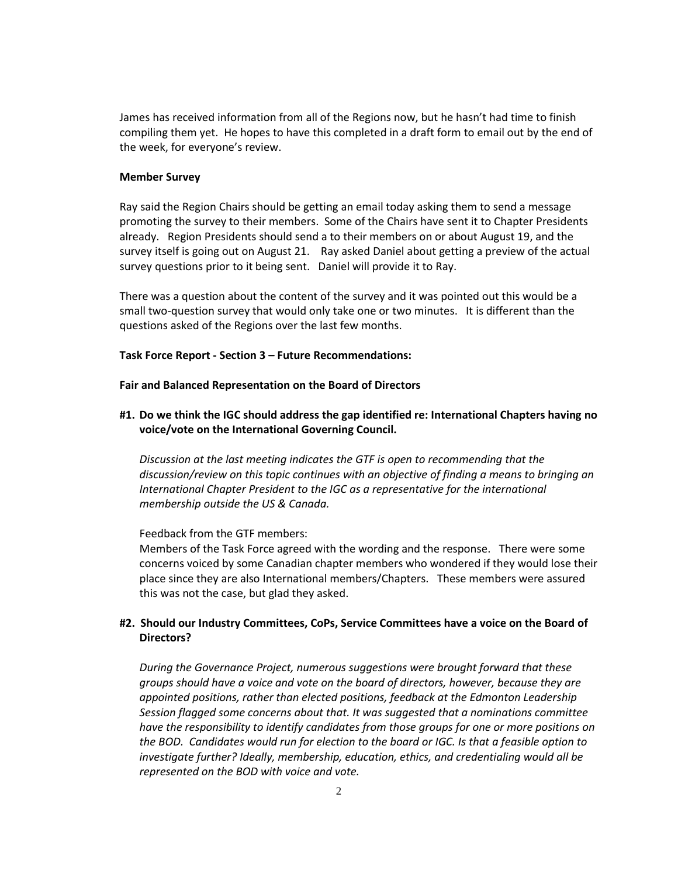James has received information from all of the Regions now, but he hasn't had time to finish compiling them yet. He hopes to have this completed in a draft form to email out by the end of the week, for everyone's review.

### **Member Survey**

Ray said the Region Chairs should be getting an email today asking them to send a message promoting the survey to their members. Some of the Chairs have sent it to Chapter Presidents already. Region Presidents should send a to their members on or about August 19, and the survey itself is going out on August 21. Ray asked Daniel about getting a preview of the actual survey questions prior to it being sent. Daniel will provide it to Ray.

There was a question about the content of the survey and it was pointed out this would be a small two-question survey that would only take one or two minutes. It is different than the questions asked of the Regions over the last few months.

#### **Task Force Report - Section 3 – Future Recommendations:**

**Fair and Balanced Representation on the Board of Directors**

**#1. Do we think the IGC should address the gap identified re: International Chapters having no voice/vote on the International Governing Council.**

*Discussion at the last meeting indicates the GTF is open to recommending that the discussion/review on this topic continues with an objective of finding a means to bringing an International Chapter President to the IGC as a representative for the international membership outside the US & Canada.*

Feedback from the GTF members:

Members of the Task Force agreed with the wording and the response. There were some concerns voiced by some Canadian chapter members who wondered if they would lose their place since they are also International members/Chapters. These members were assured this was not the case, but glad they asked.

# **#2. Should our Industry Committees, CoPs, Service Committees have a voice on the Board of Directors?**

*During the Governance Project, numerous suggestions were brought forward that these groups should have a voice and vote on the board of directors, however, because they are appointed positions, rather than elected positions, feedback at the Edmonton Leadership Session flagged some concerns about that. It was suggested that a nominations committee have the responsibility to identify candidates from those groups for one or more positions on the BOD. Candidates would run for election to the board or IGC. Is that a feasible option to investigate further? Ideally, membership, education, ethics, and credentialing would all be represented on the BOD with voice and vote.*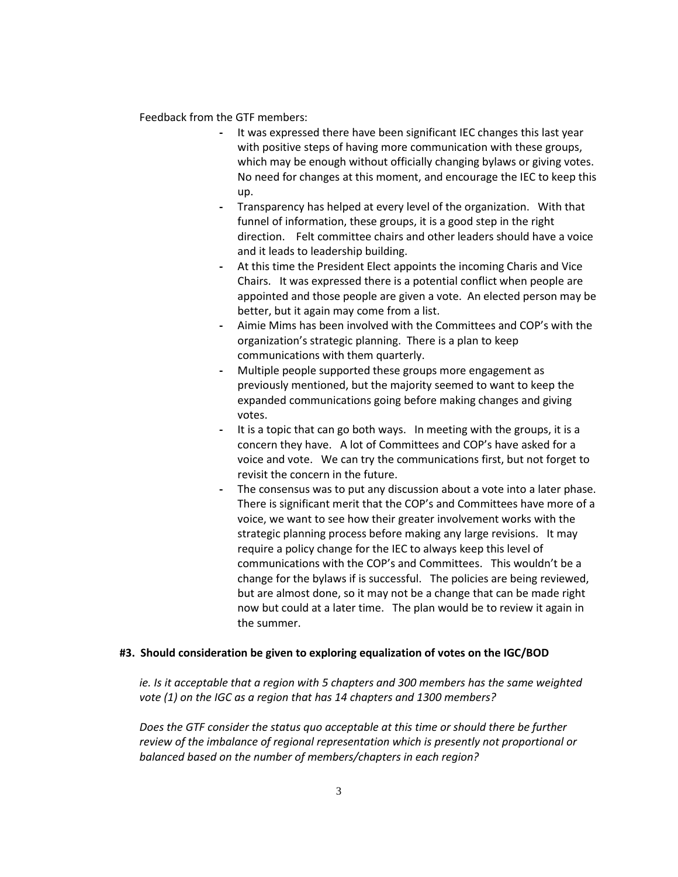Feedback from the GTF members:

- **-** It was expressed there have been significant IEC changes this last year with positive steps of having more communication with these groups, which may be enough without officially changing bylaws or giving votes. No need for changes at this moment, and encourage the IEC to keep this up.
- **-** Transparency has helped at every level of the organization. With that funnel of information, these groups, it is a good step in the right direction. Felt committee chairs and other leaders should have a voice and it leads to leadership building.
- **-** At this time the President Elect appoints the incoming Charis and Vice Chairs. It was expressed there is a potential conflict when people are appointed and those people are given a vote. An elected person may be better, but it again may come from a list.
- **-** Aimie Mims has been involved with the Committees and COP's with the organization's strategic planning. There is a plan to keep communications with them quarterly.
- **-** Multiple people supported these groups more engagement as previously mentioned, but the majority seemed to want to keep the expanded communications going before making changes and giving votes.
- **-** It is a topic that can go both ways. In meeting with the groups, it is a concern they have. A lot of Committees and COP's have asked for a voice and vote. We can try the communications first, but not forget to revisit the concern in the future.
- **-** The consensus was to put any discussion about a vote into a later phase. There is significant merit that the COP's and Committees have more of a voice, we want to see how their greater involvement works with the strategic planning process before making any large revisions. It may require a policy change for the IEC to always keep this level of communications with the COP's and Committees. This wouldn't be a change for the bylaws if is successful. The policies are being reviewed, but are almost done, so it may not be a change that can be made right now but could at a later time. The plan would be to review it again in the summer.

## **#3. Should consideration be given to exploring equalization of votes on the IGC/BOD**

*ie. Is it acceptable that a region with 5 chapters and 300 members has the same weighted vote (1) on the IGC as a region that has 14 chapters and 1300 members?*

*Does the GTF consider the status quo acceptable at this time or should there be further review of the imbalance of regional representation which is presently not proportional or balanced based on the number of members/chapters in each region?*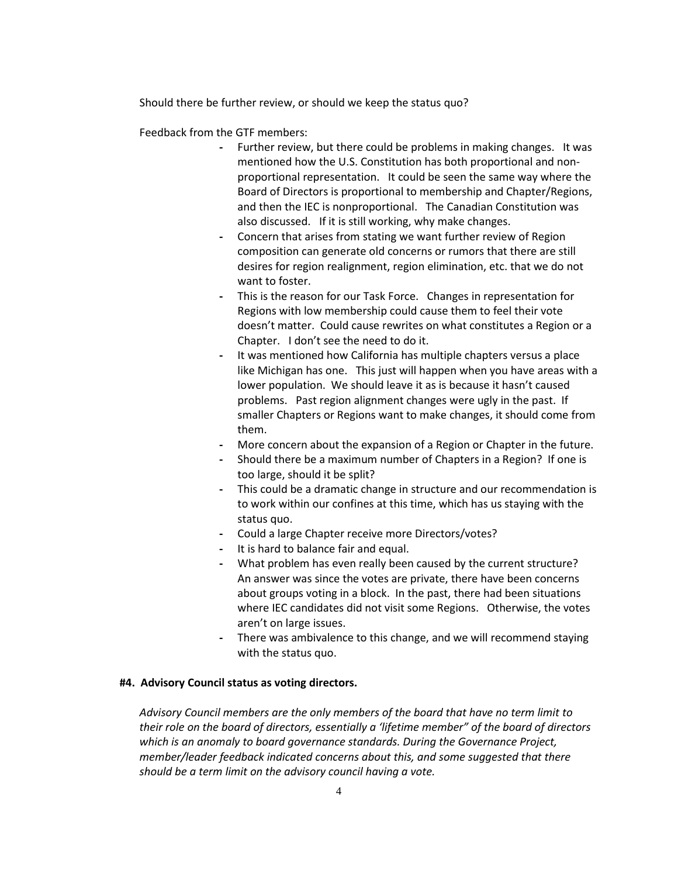Should there be further review, or should we keep the status quo?

Feedback from the GTF members:

- **-** Further review, but there could be problems in making changes. It was mentioned how the U.S. Constitution has both proportional and nonproportional representation. It could be seen the same way where the Board of Directors is proportional to membership and Chapter/Regions, and then the IEC is nonproportional. The Canadian Constitution was also discussed. If it is still working, why make changes.
- **-** Concern that arises from stating we want further review of Region composition can generate old concerns or rumors that there are still desires for region realignment, region elimination, etc. that we do not want to foster.
- **-** This is the reason for our Task Force. Changes in representation for Regions with low membership could cause them to feel their vote doesn't matter. Could cause rewrites on what constitutes a Region or a Chapter. I don't see the need to do it.
- **-** It was mentioned how California has multiple chapters versus a place like Michigan has one. This just will happen when you have areas with a lower population. We should leave it as is because it hasn't caused problems. Past region alignment changes were ugly in the past. If smaller Chapters or Regions want to make changes, it should come from them.
- **-** More concern about the expansion of a Region or Chapter in the future.
- **-** Should there be a maximum number of Chapters in a Region? If one is too large, should it be split?
- **-** This could be a dramatic change in structure and our recommendation is to work within our confines at this time, which has us staying with the status quo.
- **-** Could a large Chapter receive more Directors/votes?
- **-** It is hard to balance fair and equal.
- **-** What problem has even really been caused by the current structure? An answer was since the votes are private, there have been concerns about groups voting in a block. In the past, there had been situations where IEC candidates did not visit some Regions. Otherwise, the votes aren't on large issues.
- **-** There was ambivalence to this change, and we will recommend staying with the status quo.

### **#4. Advisory Council status as voting directors.**

*Advisory Council members are the only members of the board that have no term limit to their role on the board of directors, essentially a 'lifetime member" of the board of directors which is an anomaly to board governance standards. During the Governance Project, member/leader feedback indicated concerns about this, and some suggested that there should be a term limit on the advisory council having a vote.*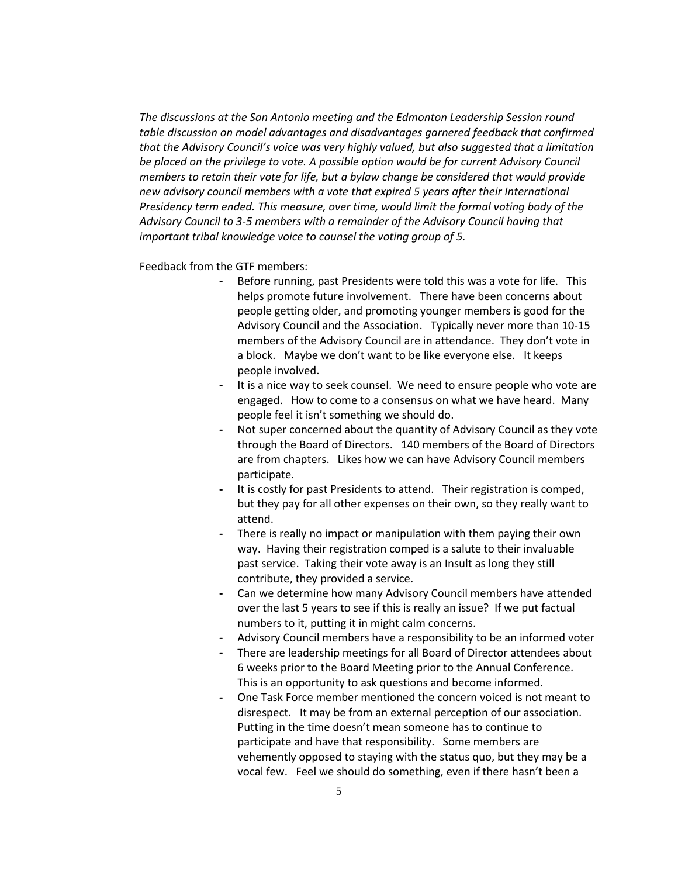*The discussions at the San Antonio meeting and the Edmonton Leadership Session round table discussion on model advantages and disadvantages garnered feedback that confirmed that the Advisory Council's voice was very highly valued, but also suggested that a limitation be placed on the privilege to vote. A possible option would be for current Advisory Council members to retain their vote for life, but a bylaw change be considered that would provide new advisory council members with a vote that expired 5 years after their International Presidency term ended. This measure, over time, would limit the formal voting body of the Advisory Council to 3-5 members with a remainder of the Advisory Council having that important tribal knowledge voice to counsel the voting group of 5.*

Feedback from the GTF members:

- **-** Before running, past Presidents were told this was a vote for life. This helps promote future involvement. There have been concerns about people getting older, and promoting younger members is good for the Advisory Council and the Association. Typically never more than 10-15 members of the Advisory Council are in attendance. They don't vote in a block. Maybe we don't want to be like everyone else. It keeps people involved.
- **-** It is a nice way to seek counsel. We need to ensure people who vote are engaged. How to come to a consensus on what we have heard. Many people feel it isn't something we should do.
- **-** Not super concerned about the quantity of Advisory Council as they vote through the Board of Directors. 140 members of the Board of Directors are from chapters. Likes how we can have Advisory Council members participate.
- **-** It is costly for past Presidents to attend. Their registration is comped, but they pay for all other expenses on their own, so they really want to attend.
- **-** There is really no impact or manipulation with them paying their own way. Having their registration comped is a salute to their invaluable past service. Taking their vote away is an Insult as long they still contribute, they provided a service.
- **-** Can we determine how many Advisory Council members have attended over the last 5 years to see if this is really an issue? If we put factual numbers to it, putting it in might calm concerns.
- **-** Advisory Council members have a responsibility to be an informed voter
- **-** There are leadership meetings for all Board of Director attendees about 6 weeks prior to the Board Meeting prior to the Annual Conference. This is an opportunity to ask questions and become informed.
- **-** One Task Force member mentioned the concern voiced is not meant to disrespect. It may be from an external perception of our association. Putting in the time doesn't mean someone has to continue to participate and have that responsibility. Some members are vehemently opposed to staying with the status quo, but they may be a vocal few. Feel we should do something, even if there hasn't been a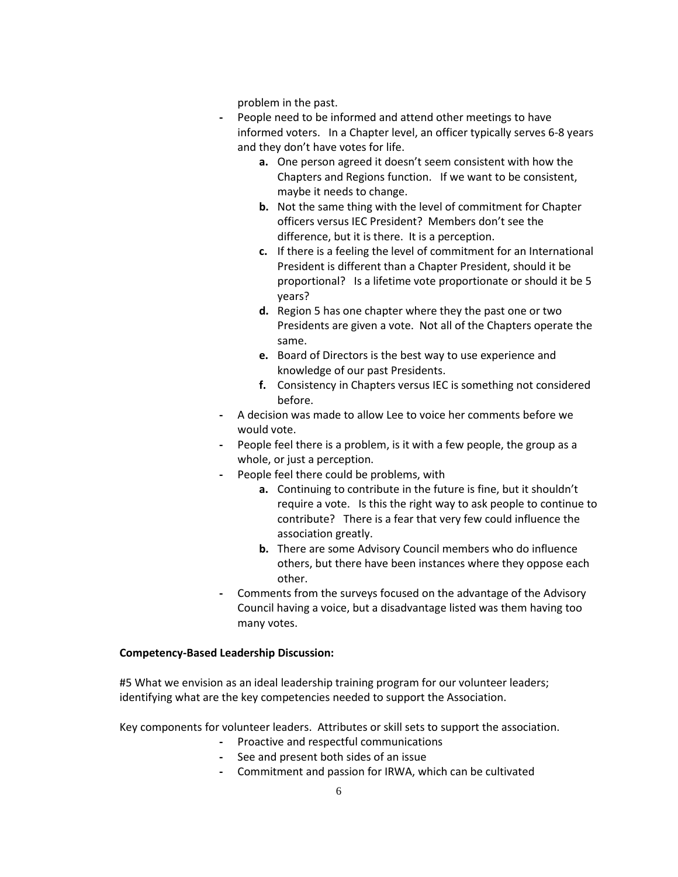problem in the past.

- **-** People need to be informed and attend other meetings to have informed voters. In a Chapter level, an officer typically serves 6-8 years and they don't have votes for life.
	- **a.** One person agreed it doesn't seem consistent with how the Chapters and Regions function. If we want to be consistent, maybe it needs to change.
	- **b.** Not the same thing with the level of commitment for Chapter officers versus IEC President? Members don't see the difference, but it is there. It is a perception.
	- **c.** If there is a feeling the level of commitment for an International President is different than a Chapter President, should it be proportional? Is a lifetime vote proportionate or should it be 5 years?
	- **d.** Region 5 has one chapter where they the past one or two Presidents are given a vote. Not all of the Chapters operate the same.
	- **e.** Board of Directors is the best way to use experience and knowledge of our past Presidents.
	- **f.** Consistency in Chapters versus IEC is something not considered before.
- **-** A decision was made to allow Lee to voice her comments before we would vote.
- **-** People feel there is a problem, is it with a few people, the group as a whole, or just a perception.
- **-** People feel there could be problems, with
	- **a.** Continuing to contribute in the future is fine, but it shouldn't require a vote. Is this the right way to ask people to continue to contribute? There is a fear that very few could influence the association greatly.
	- **b.** There are some Advisory Council members who do influence others, but there have been instances where they oppose each other.
- **-** Comments from the surveys focused on the advantage of the Advisory Council having a voice, but a disadvantage listed was them having too many votes.

# **Competency-Based Leadership Discussion:**

#5 What we envision as an ideal leadership training program for our volunteer leaders; identifying what are the key competencies needed to support the Association.

Key components for volunteer leaders. Attributes or skill sets to support the association.

- **-** Proactive and respectful communications
- **-** See and present both sides of an issue
- **-** Commitment and passion for IRWA, which can be cultivated